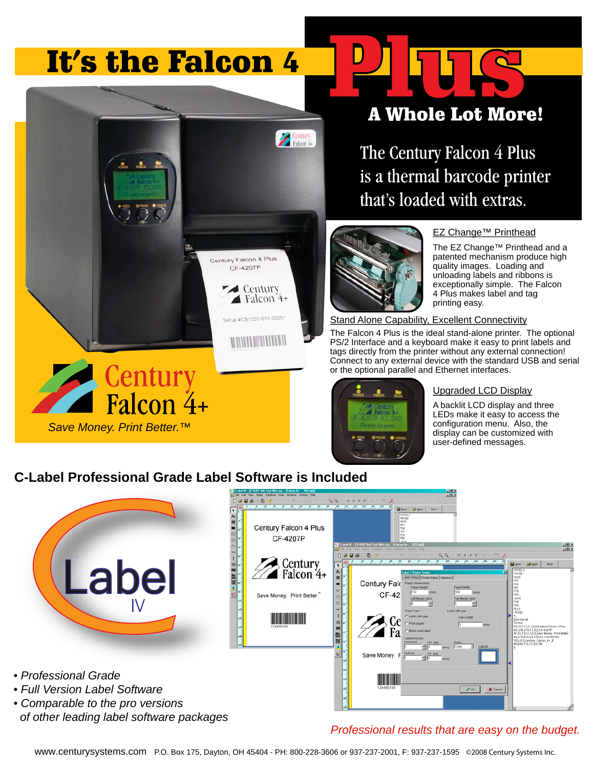# It's the Falcon 4

土

# **A Whole Lot More!**

The Century Falcon 4 Plus is a thermal barcode printer that's loaded with extras.



#### EZ Change™ Printhead

The EZ Change™ Printhead and a patented mechanism produce high quality images. Loading and unloading labels and ribbons is exceptionally simple. The Falcon 4 Plus makes label and tag printing easy.

**Stand Alone Capability, Excellent Connectivity** 

The Falcon 4 Plus is the ideal stand-alone printer. The optional PS/2 Interface and a keyboard make it easy to print labels and tags directly from the printer without any external connection! Connect to any external device with the standard USB and serial or the optional parallel and Ethernet interfaces.



#### Upgraded LCD Display

A backlit LCD display and three LEDs make it easy to access the configuration menu. Also, the display can be customized with user-defined messages.

### **C-Label Professional Grade Label Software is Included**

 *of other leading label software packages*

*Save Money. Print Better.™*

Century<br>Falcon 4+



Century<br>Falcon 4

Century Falcon 4 Plus CF-4207P

> $\triangle$  Century Falcon 4+ #CS1000-619-00001

**MULLER AND ALLER ARTISTS** 

*Professional results that are easy on the budget.*

www.centurysystems.com P.O. Box 175, Dayton, OH 45404 - PH: 800-228-3606 or 937-237-2001, F: 937-237-1595 ©2008 Century Systems Inc.